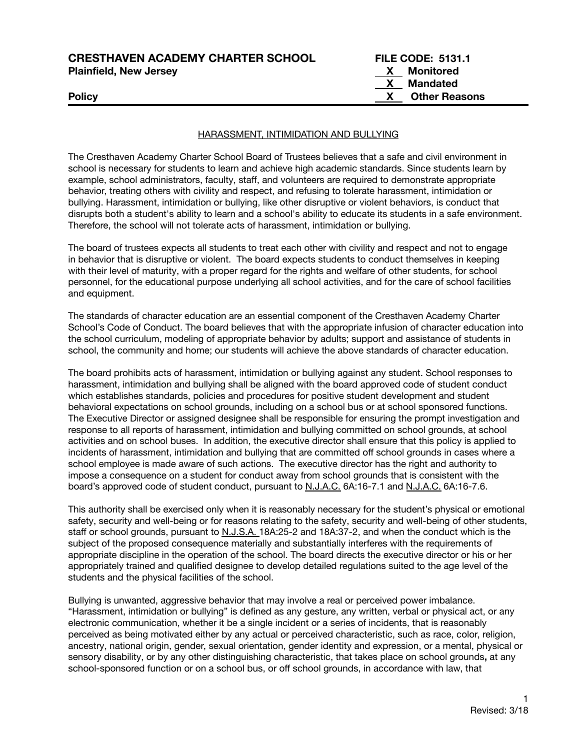| <b>CRESTHAVEN ACADEMY CHARTER SCHOOL</b><br><b>Plainfield, New Jersey</b> | <b>FILE CODE: 5131.1</b><br><b>X</b> Monitored |
|---------------------------------------------------------------------------|------------------------------------------------|
|                                                                           | X Mandated                                     |
| <b>Policy</b>                                                             | <b>Other Reasons</b>                           |
|                                                                           |                                                |

### HARASSMENT, INTIMIDATION AND BULLYING

The Cresthaven Academy Charter School Board of Trustees believes that a safe and civil environment in school is necessary for students to learn and achieve high academic standards. Since students learn by example, school administrators, faculty, staff, and volunteers are required to demonstrate appropriate behavior, treating others with civility and respect, and refusing to tolerate harassment, intimidation or bullying. Harassment, intimidation or bullying, like other disruptive or violent behaviors, is conduct that disrupts both a student's ability to learn and a school's ability to educate its students in a safe environment. Therefore, the school will not tolerate acts of harassment, intimidation or bullying.

The board of trustees expects all students to treat each other with civility and respect and not to engage in behavior that is disruptive or violent. The board expects students to conduct themselves in keeping with their level of maturity, with a proper regard for the rights and welfare of other students, for school personnel, for the educational purpose underlying all school activities, and for the care of school facilities and equipment.

The standards of character education are an essential component of the Cresthaven Academy Charter School's Code of Conduct. The board believes that with the appropriate infusion of character education into the school curriculum, modeling of appropriate behavior by adults; support and assistance of students in school, the community and home; our students will achieve the above standards of character education.

The board prohibits acts of harassment, intimidation or bullying against any student. School responses to harassment, intimidation and bullying shall be aligned with the board approved code of student conduct which establishes standards, policies and procedures for positive student development and student behavioral expectations on school grounds, including on a school bus or at school sponsored functions. The Executive Director or assigned designee shall be responsible for ensuring the prompt investigation and response to all reports of harassment, intimidation and bullying committed on school grounds, at school activities and on school buses. In addition, the executive director shall ensure that this policy is applied to incidents of harassment, intimidation and bullying that are committed off school grounds in cases where a school employee is made aware of such actions. The executive director has the right and authority to impose a consequence on a student for conduct away from school grounds that is consistent with the board's approved code of student conduct, pursuant to N.J.A.C. 6A:16-7.1 and N.J.A.C. 6A:16-7.6.

This authority shall be exercised only when it is reasonably necessary for the student's physical or emotional safety, security and well-being or for reasons relating to the safety, security and well-being of other students, staff or school grounds, pursuant to N.J.S.A. 18A:25-2 and 18A:37-2, and when the conduct which is the subject of the proposed consequence materially and substantially interferes with the requirements of appropriate discipline in the operation of the school. The board directs the executive director or his or her appropriately trained and qualified designee to develop detailed regulations suited to the age level of the students and the physical facilities of the school.

Bullying is unwanted, aggressive behavior that may involve a real or perceived power imbalance. "Harassment, intimidation or bullying" is defined as any gesture, any written, verbal or physical act, or any electronic communication, whether it be a single incident or a series of incidents, that is reasonably perceived as being motivated either by any actual or perceived characteristic, such as race, color, religion, ancestry, national origin, gender, sexual orientation, gender identity and expression, or a mental, physical or sensory disability, or by any other distinguishing characteristic, that takes place on school grounds**,** at any school-sponsored function or on a school bus, or off school grounds, in accordance with law, that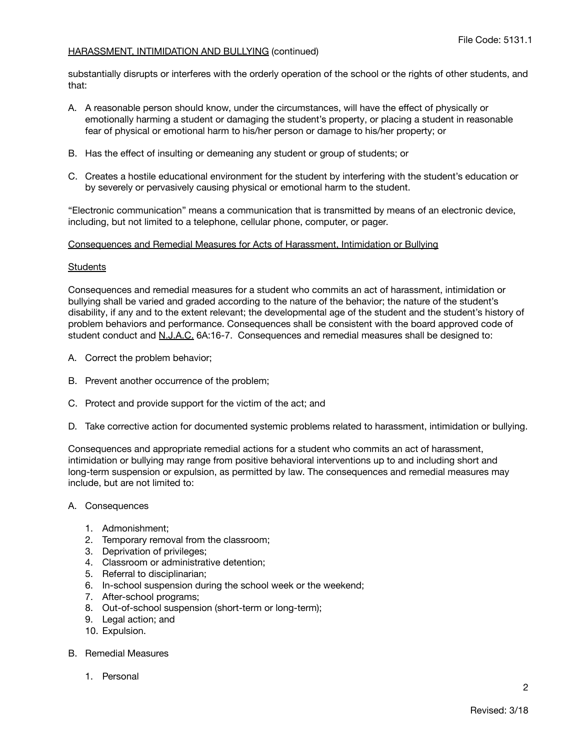substantially disrupts or interferes with the orderly operation of the school or the rights of other students, and that:

- A. A reasonable person should know, under the circumstances, will have the effect of physically or emotionally harming a student or damaging the student's property, or placing a student in reasonable fear of physical or emotional harm to his/her person or damage to his/her property; or
- B. Has the effect of insulting or demeaning any student or group of students; or
- C. Creates a hostile educational environment for the student by interfering with the student's education or by severely or pervasively causing physical or emotional harm to the student.

"Electronic communication" means a communication that is transmitted by means of an electronic device, including, but not limited to a telephone, cellular phone, computer, or pager.

### Consequences and Remedial Measures for Acts of Harassment, Intimidation or Bullying

#### **Students**

Consequences and remedial measures for a student who commits an act of harassment, intimidation or bullying shall be varied and graded according to the nature of the behavior; the nature of the student's disability, if any and to the extent relevant; the developmental age of the student and the student's history of problem behaviors and performance. Consequences shall be consistent with the board approved code of student conduct and N.J.A.C. 6A:16-7. Consequences and remedial measures shall be designed to:

- A. Correct the problem behavior;
- B. Prevent another occurrence of the problem;
- C. Protect and provide support for the victim of the act; and
- D. Take corrective action for documented systemic problems related to harassment, intimidation or bullying.

Consequences and appropriate remedial actions for a student who commits an act of harassment, intimidation or bullying may range from positive behavioral interventions up to and including short and long-term suspension or expulsion, as permitted by law. The consequences and remedial measures may include, but are not limited to:

- A. Consequences
	- 1. Admonishment;
	- 2. Temporary removal from the classroom;
	- 3. Deprivation of privileges;
	- 4. Classroom or administrative detention;
	- 5. Referral to disciplinarian;
	- 6. In-school suspension during the school week or the weekend;
	- 7. After-school programs;
	- 8. Out-of-school suspension (short-term or long-term);
	- 9. Legal action; and
	- 10. Expulsion.
- B. Remedial Measures
	- 1. Personal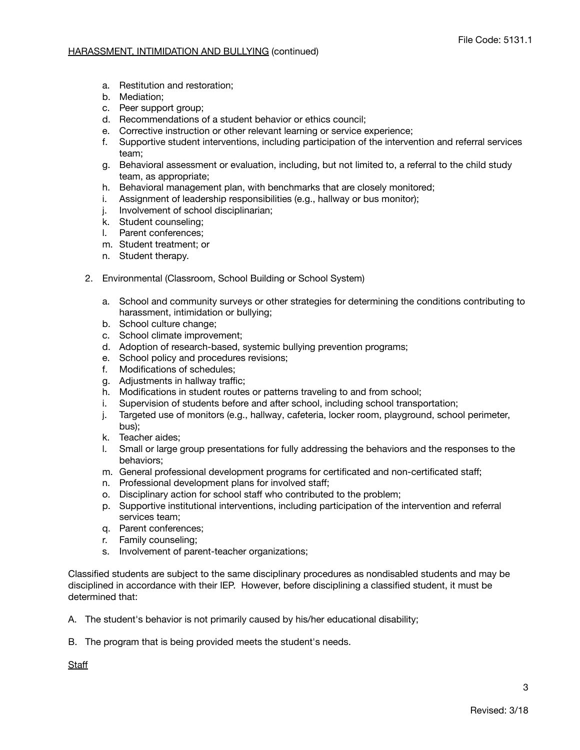- a. Restitution and restoration;
- b. Mediation;
- c. Peer support group;
- d. Recommendations of a student behavior or ethics council;
- e. Corrective instruction or other relevant learning or service experience;
- f. Supportive student interventions, including participation of the intervention and referral services team;
- g. Behavioral assessment or evaluation, including, but not limited to, a referral to the child study team, as appropriate;
- h. Behavioral management plan, with benchmarks that are closely monitored;
- i. Assignment of leadership responsibilities (e.g., hallway or bus monitor);
- j. Involvement of school disciplinarian;
- k. Student counseling;
- l. Parent conferences;
- m. Student treatment; or
- n. Student therapy.
- 2. Environmental (Classroom, School Building or School System)
	- a. School and community surveys or other strategies for determining the conditions contributing to harassment, intimidation or bullying;
	- b. School culture change;
	- c. School climate improvement;
	- d. Adoption of research-based, systemic bullying prevention programs;
	- e. School policy and procedures revisions;
	- f. Modifications of schedules;
	- g. Adjustments in hallway traffic;
	- h. Modifications in student routes or patterns traveling to and from school;
	- i. Supervision of students before and after school, including school transportation;
	- j. Targeted use of monitors (e.g., hallway, cafeteria, locker room, playground, school perimeter, bus);
	- k. Teacher aides;
	- l. Small or large group presentations for fully addressing the behaviors and the responses to the behaviors;
	- m. General professional development programs for certificated and non-certificated staff;
	- n. Professional development plans for involved staff;
	- o. Disciplinary action for school staff who contributed to the problem;
	- p. Supportive institutional interventions, including participation of the intervention and referral services team;
	- q. Parent conferences;
	- r. Family counseling;
	- s. Involvement of parent-teacher organizations;

Classified students are subject to the same disciplinary procedures as nondisabled students and may be disciplined in accordance with their IEP. However, before disciplining a classified student, it must be determined that:

A. The student's behavior is not primarily caused by his/her educational disability;

B. The program that is being provided meets the student's needs.

**Staff**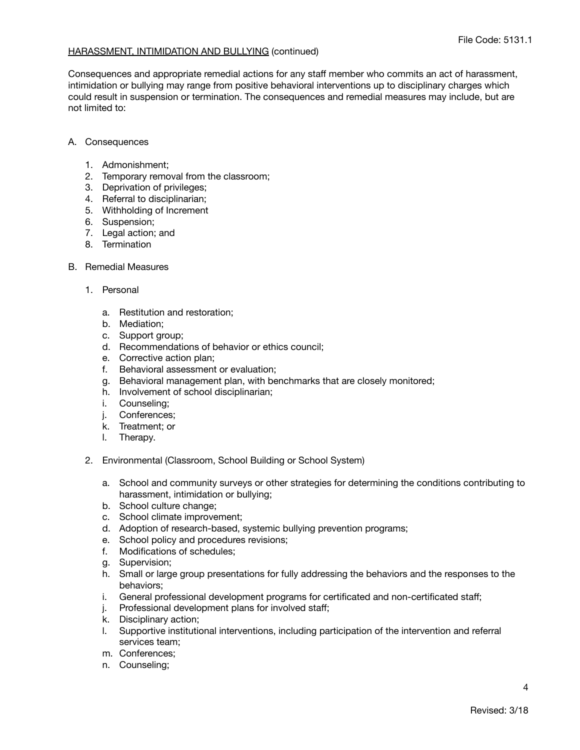Consequences and appropriate remedial actions for any staff member who commits an act of harassment, intimidation or bullying may range from positive behavioral interventions up to disciplinary charges which could result in suspension or termination. The consequences and remedial measures may include, but are not limited to:

## A. Consequences

- 1. Admonishment;
- 2. Temporary removal from the classroom;
- 3. Deprivation of privileges;
- 4. Referral to disciplinarian;
- 5. Withholding of Increment
- 6. Suspension;
- 7. Legal action; and
- 8. Termination
- B. Remedial Measures
	- 1. Personal
		- a. Restitution and restoration;
		- b. Mediation;
		- c. Support group;
		- d. Recommendations of behavior or ethics council;
		- e. Corrective action plan;
		- f. Behavioral assessment or evaluation;
		- g. Behavioral management plan, with benchmarks that are closely monitored;
		- h. Involvement of school disciplinarian;
		- i. Counseling;
		- j. Conferences;
		- k. Treatment; or
		- l. Therapy.
	- 2. Environmental (Classroom, School Building or School System)
		- a. School and community surveys or other strategies for determining the conditions contributing to harassment, intimidation or bullying;
		- b. School culture change;
		- c. School climate improvement;
		- d. Adoption of research-based, systemic bullying prevention programs;
		- e. School policy and procedures revisions;
		- f. Modifications of schedules;
		- g. Supervision;
		- h. Small or large group presentations for fully addressing the behaviors and the responses to the behaviors;
		- i. General professional development programs for certificated and non-certificated staff;
		- j. Professional development plans for involved staff;
		- k. Disciplinary action;
		- l. Supportive institutional interventions, including participation of the intervention and referral services team;
		- m. Conferences;
		- n. Counseling;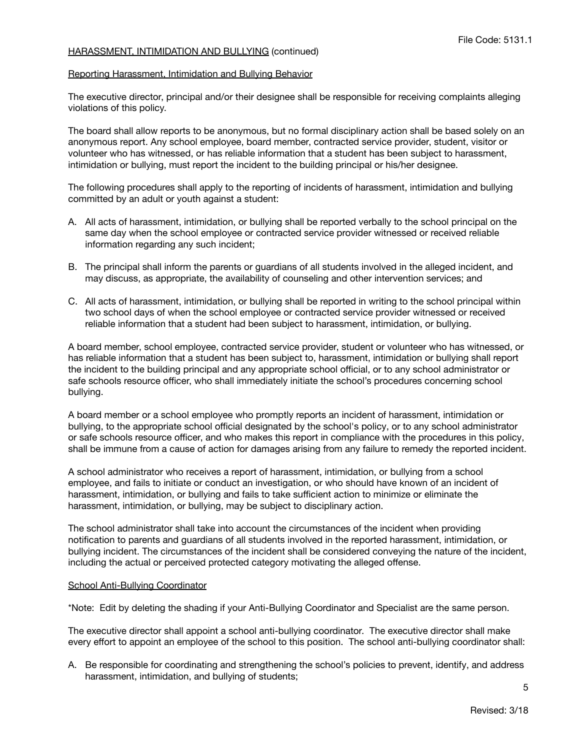#### Reporting Harassment, Intimidation and Bullying Behavior

The executive director, principal and/or their designee shall be responsible for receiving complaints alleging violations of this policy.

The board shall allow reports to be anonymous, but no formal disciplinary action shall be based solely on an anonymous report. Any school employee, board member, contracted service provider, student, visitor or volunteer who has witnessed, or has reliable information that a student has been subject to harassment, intimidation or bullying, must report the incident to the building principal or his/her designee.

The following procedures shall apply to the reporting of incidents of harassment, intimidation and bullying committed by an adult or youth against a student:

- A. All acts of harassment, intimidation, or bullying shall be reported verbally to the school principal on the same day when the school employee or contracted service provider witnessed or received reliable information regarding any such incident;
- B. The principal shall inform the parents or guardians of all students involved in the alleged incident, and may discuss, as appropriate, the availability of counseling and other intervention services; and
- C. All acts of harassment, intimidation, or bullying shall be reported in writing to the school principal within two school days of when the school employee or contracted service provider witnessed or received reliable information that a student had been subject to harassment, intimidation, or bullying.

A board member, school employee, contracted service provider, student or volunteer who has witnessed, or has reliable information that a student has been subject to, harassment, intimidation or bullying shall report the incident to the building principal and any appropriate school official, or to any school administrator or safe schools resource officer, who shall immediately initiate the school's procedures concerning school bullying.

A board member or a school employee who promptly reports an incident of harassment, intimidation or bullying, to the appropriate school official designated by the school's policy, or to any school administrator or safe schools resource officer, and who makes this report in compliance with the procedures in this policy, shall be immune from a cause of action for damages arising from any failure to remedy the reported incident.

A school administrator who receives a report of harassment, intimidation, or bullying from a school employee, and fails to initiate or conduct an investigation, or who should have known of an incident of harassment, intimidation, or bullying and fails to take sufficient action to minimize or eliminate the harassment, intimidation, or bullying, may be subject to disciplinary action.

The school administrator shall take into account the circumstances of the incident when providing notification to parents and guardians of all students involved in the reported harassment, intimidation, or bullying incident. The circumstances of the incident shall be considered conveying the nature of the incident, including the actual or perceived protected category motivating the alleged offense.

### School Anti-Bullying Coordinator

\*Note: Edit by deleting the shading if your Anti-Bullying Coordinator and Specialist are the same person.

The executive director shall appoint a school anti-bullying coordinator. The executive director shall make every effort to appoint an employee of the school to this position. The school anti-bullying coordinator shall:

A. Be responsible for coordinating and strengthening the school's policies to prevent, identify, and address harassment, intimidation, and bullying of students;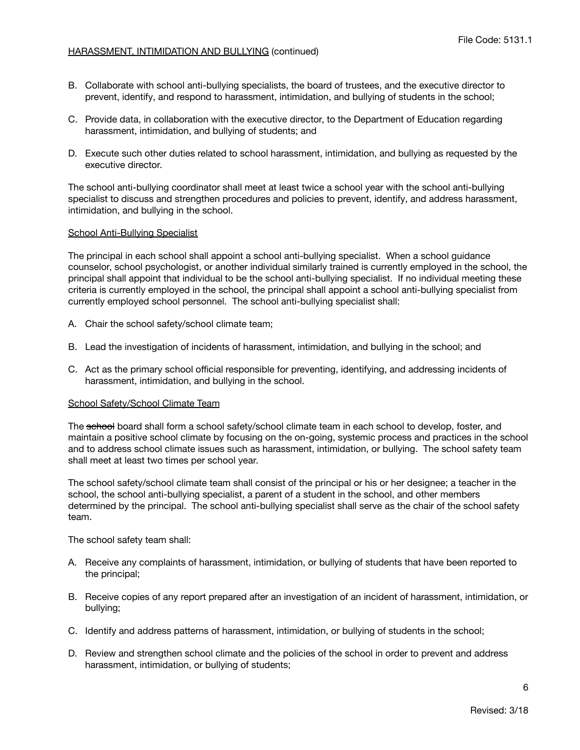- B. Collaborate with school anti-bullying specialists, the board of trustees, and the executive director to prevent, identify, and respond to harassment, intimidation, and bullying of students in the school;
- C. Provide data, in collaboration with the executive director, to the Department of Education regarding harassment, intimidation, and bullying of students; and
- D. Execute such other duties related to school harassment, intimidation, and bullying as requested by the executive director.

The school anti-bullying coordinator shall meet at least twice a school year with the school anti-bullying specialist to discuss and strengthen procedures and policies to prevent, identify, and address harassment, intimidation, and bullying in the school.

### School Anti-Bullying Specialist

The principal in each school shall appoint a school anti-bullying specialist. When a school guidance counselor, school psychologist, or another individual similarly trained is currently employed in the school, the principal shall appoint that individual to be the school anti-bullying specialist. If no individual meeting these criteria is currently employed in the school, the principal shall appoint a school anti-bullying specialist from currently employed school personnel. The school anti-bullying specialist shall:

- A. Chair the school safety/school climate team;
- B. Lead the investigation of incidents of harassment, intimidation, and bullying in the school; and
- C. Act as the primary school official responsible for preventing, identifying, and addressing incidents of harassment, intimidation, and bullying in the school.

### School Safety/School Climate Team

The school board shall form a school safety/school climate team in each school to develop, foster, and maintain a positive school climate by focusing on the on-going, systemic process and practices in the school and to address school climate issues such as harassment, intimidation, or bullying. The school safety team shall meet at least two times per school year.

The school safety/school climate team shall consist of the principal or his or her designee; a teacher in the school, the school anti-bullying specialist, a parent of a student in the school, and other members determined by the principal. The school anti-bullying specialist shall serve as the chair of the school safety team.

The school safety team shall:

- A. Receive any complaints of harassment, intimidation, or bullying of students that have been reported to the principal;
- B. Receive copies of any report prepared after an investigation of an incident of harassment, intimidation, or bullying;
- C. Identify and address patterns of harassment, intimidation, or bullying of students in the school;
- D. Review and strengthen school climate and the policies of the school in order to prevent and address harassment, intimidation, or bullying of students;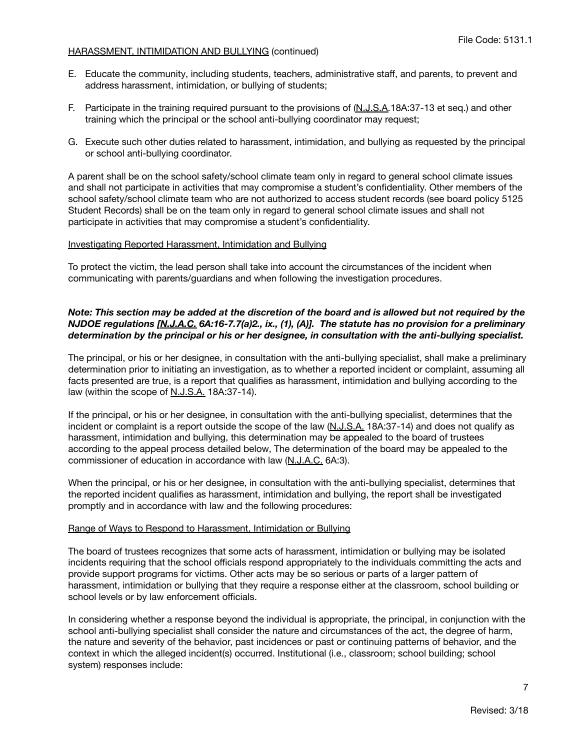- E. Educate the community, including students, teachers, administrative staff, and parents, to prevent and address harassment, intimidation, or bullying of students;
- F. Participate in the training required pursuant to the provisions of (N.J.S.A.18A:37-13 et seq.) and other training which the principal or the school anti-bullying coordinator may request;
- G. Execute such other duties related to harassment, intimidation, and bullying as requested by the principal or school anti-bullying coordinator.

A parent shall be on the school safety/school climate team only in regard to general school climate issues and shall not participate in activities that may compromise a student's confidentiality. Other members of the school safety/school climate team who are not authorized to access student records (see board policy 5125 Student Records) shall be on the team only in regard to general school climate issues and shall not participate in activities that may compromise a student's confidentiality.

## Investigating Reported Harassment, Intimidation and Bullying

To protect the victim, the lead person shall take into account the circumstances of the incident when communicating with parents/guardians and when following the investigation procedures.

## Note: This section may be added at the discretion of the board and is allowed but not required by the *NJDOE regulations [N.J.A.C. 6A:16-7.7(a)2., ix., (1), (A)]. The statute has no provision for a preliminary determination by the principal or his or her designee, in consultation with the anti-bullying specialist.*

The principal, or his or her designee, in consultation with the anti-bullying specialist, shall make a preliminary determination prior to initiating an investigation, as to whether a reported incident or complaint, assuming all facts presented are true, is a report that qualifies as harassment, intimidation and bullying according to the law (within the scope of N.J.S.A. 18A:37-14).

If the principal, or his or her designee, in consultation with the anti-bullying specialist, determines that the incident or complaint is a report outside the scope of the law  $(N.J.S.A. 18A.37-14)$  and does not qualify as harassment, intimidation and bullying, this determination may be appealed to the board of trustees according to the appeal process detailed below, The determination of the board may be appealed to the commissioner of education in accordance with law (N.J.A.C. 6A:3).

When the principal, or his or her designee, in consultation with the anti-bullying specialist, determines that the reported incident qualifies as harassment, intimidation and bullying, the report shall be investigated promptly and in accordance with law and the following procedures:

## Range of Ways to Respond to Harassment, Intimidation or Bullying

The board of trustees recognizes that some acts of harassment, intimidation or bullying may be isolated incidents requiring that the school officials respond appropriately to the individuals committing the acts and provide support programs for victims. Other acts may be so serious or parts of a larger pattern of harassment, intimidation or bullying that they require a response either at the classroom, school building or school levels or by law enforcement officials.

In considering whether a response beyond the individual is appropriate, the principal, in conjunction with the school anti-bullying specialist shall consider the nature and circumstances of the act, the degree of harm, the nature and severity of the behavior, past incidences or past or continuing patterns of behavior, and the context in which the alleged incident(s) occurred. Institutional (i.e., classroom; school building; school system) responses include: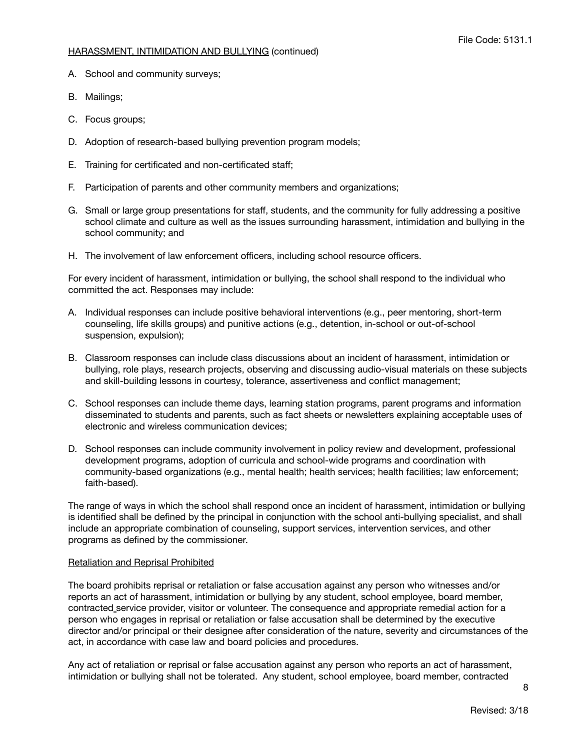- A. School and community surveys;
- B. Mailings;
- C. Focus groups;
- D. Adoption of research-based bullying prevention program models;
- E. Training for certificated and non-certificated staff;
- F. Participation of parents and other community members and organizations;
- G. Small or large group presentations for staff, students, and the community for fully addressing a positive school climate and culture as well as the issues surrounding harassment, intimidation and bullying in the school community; and
- H. The involvement of law enforcement officers, including school resource officers.

For every incident of harassment, intimidation or bullying, the school shall respond to the individual who committed the act. Responses may include:

- A. Individual responses can include positive behavioral interventions (e.g., peer mentoring, short-term counseling, life skills groups) and punitive actions (e.g., detention, in-school or out-of-school suspension, expulsion);
- B. Classroom responses can include class discussions about an incident of harassment, intimidation or bullying, role plays, research projects, observing and discussing audio-visual materials on these subjects and skill-building lessons in courtesy, tolerance, assertiveness and conflict management;
- C. School responses can include theme days, learning station programs, parent programs and information disseminated to students and parents, such as fact sheets or newsletters explaining acceptable uses of electronic and wireless communication devices;
- D. School responses can include community involvement in policy review and development, professional development programs, adoption of curricula and school-wide programs and coordination with community-based organizations (e.g., mental health; health services; health facilities; law enforcement; faith-based).

The range of ways in which the school shall respond once an incident of harassment, intimidation or bullying is identified shall be defined by the principal in conjunction with the school anti-bullying specialist, and shall include an appropriate combination of counseling, support services, intervention services, and other programs as defined by the commissioner.

## Retaliation and Reprisal Prohibited

The board prohibits reprisal or retaliation or false accusation against any person who witnesses and/or reports an act of harassment, intimidation or bullying by any student, school employee, board member, contracted service provider, visitor or volunteer. The consequence and appropriate remedial action for a person who engages in reprisal or retaliation or false accusation shall be determined by the executive director and/or principal or their designee after consideration of the nature, severity and circumstances of the act, in accordance with case law and board policies and procedures.

Any act of retaliation or reprisal or false accusation against any person who reports an act of harassment, intimidation or bullying shall not be tolerated. Any student, school employee, board member, contracted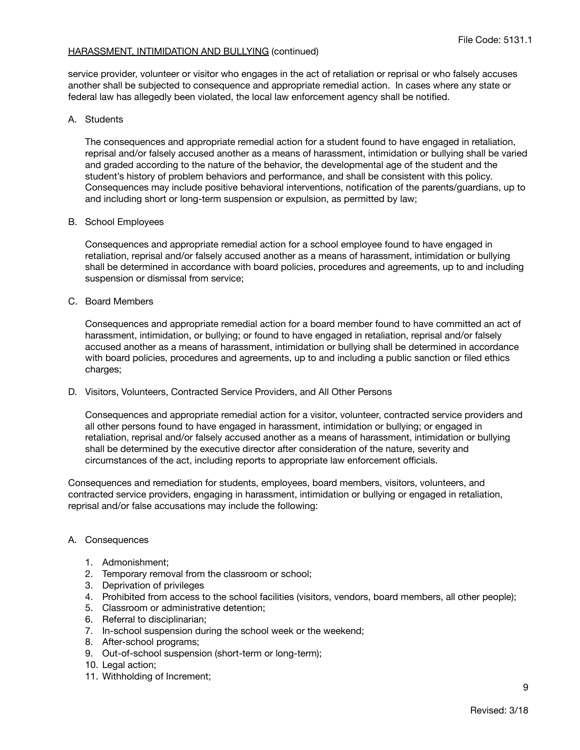service provider, volunteer or visitor who engages in the act of retaliation or reprisal or who falsely accuses another shall be subjected to consequence and appropriate remedial action. In cases where any state or federal law has allegedly been violated, the local law enforcement agency shall be notified.

## A. Students

The consequences and appropriate remedial action for a student found to have engaged in retaliation, reprisal and/or falsely accused another as a means of harassment, intimidation or bullying shall be varied and graded according to the nature of the behavior, the developmental age of the student and the student's history of problem behaviors and performance, and shall be consistent with this policy. Consequences may include positive behavioral interventions, notification of the parents/guardians, up to and including short or long-term suspension or expulsion, as permitted by law;

## B. School Employees

Consequences and appropriate remedial action for a school employee found to have engaged in retaliation, reprisal and/or falsely accused another as a means of harassment, intimidation or bullying shall be determined in accordance with board policies, procedures and agreements, up to and including suspension or dismissal from service;

## C. Board Members

Consequences and appropriate remedial action for a board member found to have committed an act of harassment, intimidation, or bullying; or found to have engaged in retaliation, reprisal and/or falsely accused another as a means of harassment, intimidation or bullying shall be determined in accordance with board policies, procedures and agreements, up to and including a public sanction or filed ethics charges;

D. Visitors, Volunteers, Contracted Service Providers, and All Other Persons

Consequences and appropriate remedial action for a visitor, volunteer, contracted service providers and all other persons found to have engaged in harassment, intimidation or bullying; or engaged in retaliation, reprisal and/or falsely accused another as a means of harassment, intimidation or bullying shall be determined by the executive director after consideration of the nature, severity and circumstances of the act, including reports to appropriate law enforcement officials.

Consequences and remediation for students, employees, board members, visitors, volunteers, and contracted service providers, engaging in harassment, intimidation or bullying or engaged in retaliation, reprisal and/or false accusations may include the following:

# A. Consequences

- 1. Admonishment;
- 2. Temporary removal from the classroom or school;
- 3. Deprivation of privileges
- 4. Prohibited from access to the school facilities (visitors, vendors, board members, all other people);
- 5. Classroom or administrative detention;
- 6. Referral to disciplinarian;
- 7. In-school suspension during the school week or the weekend;
- 8. After-school programs;
- 9. Out-of-school suspension (short-term or long-term);
- 10. Legal action:
- 11. Withholding of Increment;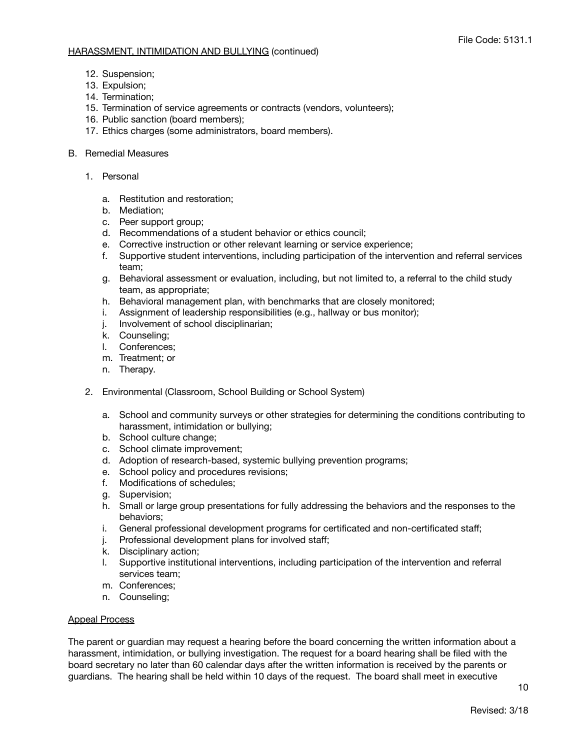- 12. Suspension;
- 13. Expulsion;
- 14. Termination;
- 15. Termination of service agreements or contracts (vendors, volunteers);
- 16. Public sanction (board members);
- 17. Ethics charges (some administrators, board members).
- B. Remedial Measures
	- 1. Personal
		- a. Restitution and restoration;
		- b. Mediation;
		- c. Peer support group;
		- d. Recommendations of a student behavior or ethics council;
		- e. Corrective instruction or other relevant learning or service experience;
		- f. Supportive student interventions, including participation of the intervention and referral services team;
		- g. Behavioral assessment or evaluation, including, but not limited to, a referral to the child study team, as appropriate;
		- h. Behavioral management plan, with benchmarks that are closely monitored;
		- i. Assignment of leadership responsibilities (e.g., hallway or bus monitor);
		- j. Involvement of school disciplinarian;
		- k. Counseling;
		- l. Conferences;
		- m. Treatment; or
		- n. Therapy.
	- 2. Environmental (Classroom, School Building or School System)
		- a. School and community surveys or other strategies for determining the conditions contributing to harassment, intimidation or bullying;
		- b. School culture change;
		- c. School climate improvement;
		- d. Adoption of research-based, systemic bullying prevention programs;
		- e. School policy and procedures revisions;
		- f. Modifications of schedules;
		- g. Supervision;
		- h. Small or large group presentations for fully addressing the behaviors and the responses to the behaviors;
		- i. General professional development programs for certificated and non-certificated staff;
		- j. Professional development plans for involved staff;
		- k. Disciplinary action;
		- l. Supportive institutional interventions, including participation of the intervention and referral services team;
		- m. Conferences;
		- n. Counseling;

### Appeal Process

The parent or guardian may request a hearing before the board concerning the written information about a harassment, intimidation, or bullying investigation. The request for a board hearing shall be filed with the board secretary no later than 60 calendar days after the written information is received by the parents or guardians. The hearing shall be held within 10 days of the request. The board shall meet in executive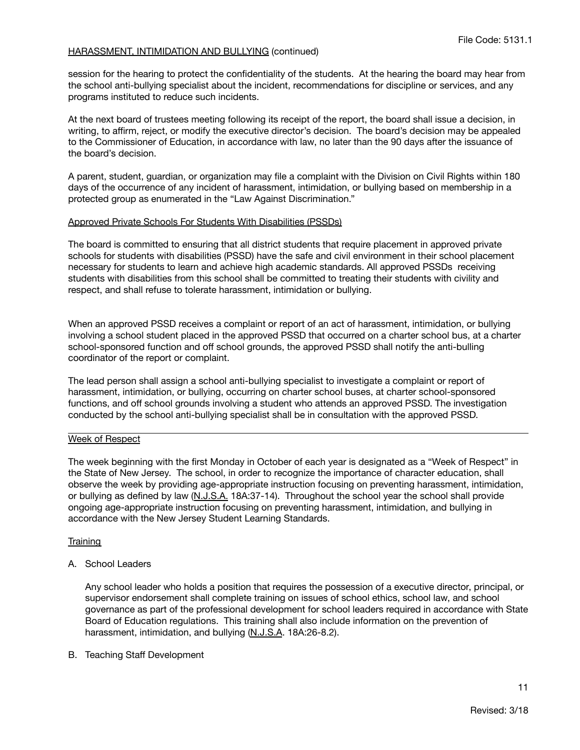session for the hearing to protect the confidentiality of the students. At the hearing the board may hear from the school anti-bullying specialist about the incident, recommendations for discipline or services, and any programs instituted to reduce such incidents.

At the next board of trustees meeting following its receipt of the report, the board shall issue a decision, in writing, to affirm, reject, or modify the executive director's decision. The board's decision may be appealed to the Commissioner of Education, in accordance with law, no later than the 90 days after the issuance of the board's decision.

A parent, student, guardian, or organization may file a complaint with the Division on Civil Rights within 180 days of the occurrence of any incident of harassment, intimidation, or bullying based on membership in a protected group as enumerated in the "Law Against Discrimination."

### Approved Private Schools For Students With Disabilities (PSSDs)

The board is committed to ensuring that all district students that require placement in approved private schools for students with disabilities (PSSD) have the safe and civil environment in their school placement necessary for students to learn and achieve high academic standards. All approved PSSDs receiving students with disabilities from this school shall be committed to treating their students with civility and respect, and shall refuse to tolerate harassment, intimidation or bullying.

When an approved PSSD receives a complaint or report of an act of harassment, intimidation, or bullying involving a school student placed in the approved PSSD that occurred on a charter school bus, at a charter school-sponsored function and off school grounds, the approved PSSD shall notify the anti-bulling coordinator of the report or complaint.

The lead person shall assign a school anti-bullying specialist to investigate a complaint or report of harassment, intimidation, or bullying, occurring on charter school buses, at charter school-sponsored functions, and off school grounds involving a student who attends an approved PSSD. The investigation conducted by the school anti-bullying specialist shall be in consultation with the approved PSSD.

## Week of Respect

The week beginning with the first Monday in October of each year is designated as a "Week of Respect" in the State of New Jersey. The school, in order to recognize the importance of character education, shall observe the week by providing age-appropriate instruction focusing on preventing harassment, intimidation, or bullying as defined by law (N.J.S.A. 18A:37-14). Throughout the school year the school shall provide ongoing age-appropriate instruction focusing on preventing harassment, intimidation, and bullying in accordance with the New Jersey Student Learning Standards.

### **Training**

A. School Leaders

Any school leader who holds a position that requires the possession of a executive director, principal, or supervisor endorsement shall complete training on issues of school ethics, school law, and school governance as part of the professional development for school leaders required in accordance with State Board of Education regulations. This training shall also include information on the prevention of harassment, intimidation, and bullying (N.J.S.A. 18A:26-8.2).

B. Teaching Staff Development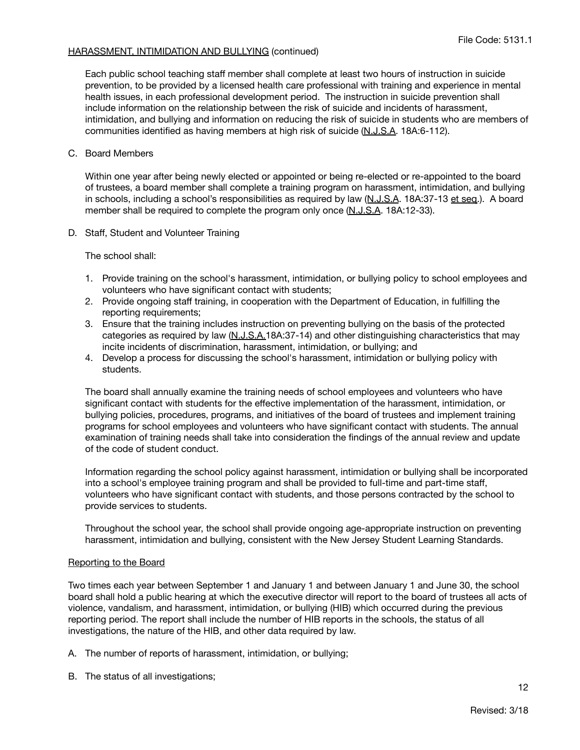Each public school teaching staff member shall complete at least two hours of instruction in suicide prevention, to be provided by a licensed health care professional with training and experience in mental health issues, in each professional development period. The instruction in suicide prevention shall include information on the relationship between the risk of suicide and incidents of harassment, intimidation, and bullying and information on reducing the risk of suicide in students who are members of communities identified as having members at high risk of suicide (N.J.S.A. 18A:6-112).

### C. Board Members

Within one year after being newly elected or appointed or being re-elected or re-appointed to the board of trustees, a board member shall complete a training program on harassment, intimidation, and bullying in schools, including a school's responsibilities as required by law (N.J.S.A. 18A:37-13 et seq.). A board member shall be required to complete the program only once (N.J.S.A. 18A:12-33).

D. Staff, Student and Volunteer Training

The school shall:

- 1. Provide training on the school's harassment, intimidation, or bullying policy to school employees and volunteers who have significant contact with students;
- 2. Provide ongoing staff training, in cooperation with the Department of Education, in fulfilling the reporting requirements;
- 3. Ensure that the training includes instruction on preventing bullying on the basis of the protected categories as required by law (N.J.S.A.18A:37-14) and other distinguishing characteristics that may incite incidents of discrimination, harassment, intimidation, or bullying; and
- 4. Develop a process for discussing the school's harassment, intimidation or bullying policy with students.

The board shall annually examine the training needs of school employees and volunteers who have significant contact with students for the effective implementation of the harassment, intimidation, or bullying policies, procedures, programs, and initiatives of the board of trustees and implement training programs for school employees and volunteers who have significant contact with students. The annual examination of training needs shall take into consideration the findings of the annual review and update of the code of student conduct.

Information regarding the school policy against harassment, intimidation or bullying shall be incorporated into a school's employee training program and shall be provided to full-time and part-time staff, volunteers who have significant contact with students, and those persons contracted by the school to provide services to students.

Throughout the school year, the school shall provide ongoing age-appropriate instruction on preventing harassment, intimidation and bullying, consistent with the New Jersey Student Learning Standards.

### Reporting to the Board

Two times each year between September 1 and January 1 and between January 1 and June 30, the school board shall hold a public hearing at which the executive director will report to the board of trustees all acts of violence, vandalism, and harassment, intimidation, or bullying (HIB) which occurred during the previous reporting period. The report shall include the number of HIB reports in the schools, the status of all investigations, the nature of the HIB, and other data required by law.

A. The number of reports of harassment, intimidation, or bullying;

B. The status of all investigations;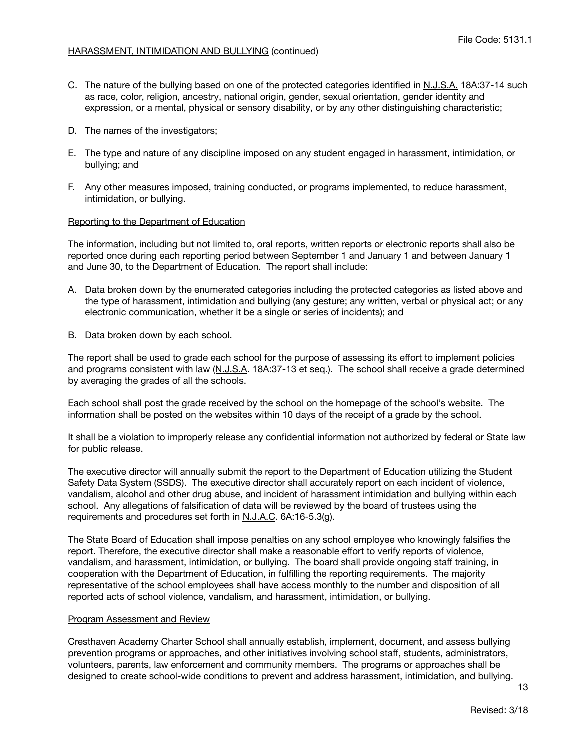- C. The nature of the bullying based on one of the protected categories identified in N.J.S.A. 18A:37-14 such as race, color, religion, ancestry, national origin, gender, sexual orientation, gender identity and expression, or a mental, physical or sensory disability, or by any other distinguishing characteristic;
- D. The names of the investigators;
- E. The type and nature of any discipline imposed on any student engaged in harassment, intimidation, or bullying; and
- F. Any other measures imposed, training conducted, or programs implemented, to reduce harassment, intimidation, or bullying.

# Reporting to the Department of Education

The information, including but not limited to, oral reports, written reports or electronic reports shall also be reported once during each reporting period between September 1 and January 1 and between January 1 and June 30, to the Department of Education. The report shall include:

- A. Data broken down by the enumerated categories including the protected categories as listed above and the type of harassment, intimidation and bullying (any gesture; any written, verbal or physical act; or any electronic communication, whether it be a single or series of incidents); and
- B. Data broken down by each school.

The report shall be used to grade each school for the purpose of assessing its effort to implement policies and programs consistent with law (N.J.S.A. 18A:37-13 et seq.). The school shall receive a grade determined by averaging the grades of all the schools.

Each school shall post the grade received by the school on the homepage of the school's website. The information shall be posted on the websites within 10 days of the receipt of a grade by the school.

It shall be a violation to improperly release any confidential information not authorized by federal or State law for public release.

The executive director will annually submit the report to the Department of Education utilizing the Student Safety Data System (SSDS). The executive director shall accurately report on each incident of violence, vandalism, alcohol and other drug abuse, and incident of harassment intimidation and bullying within each school. Any allegations of falsification of data will be reviewed by the board of trustees using the requirements and procedures set forth in N.J.A.C. 6A:16-5.3(g).

The State Board of Education shall impose penalties on any school employee who knowingly falsifies the report. Therefore, the executive director shall make a reasonable effort to verify reports of violence, vandalism, and harassment, intimidation, or bullying. The board shall provide ongoing staff training, in cooperation with the Department of Education, in fulfilling the reporting requirements. The majority representative of the school employees shall have access monthly to the number and disposition of all reported acts of school violence, vandalism, and harassment, intimidation, or bullying.

## Program Assessment and Review

Cresthaven Academy Charter School shall annually establish, implement, document, and assess bullying prevention programs or approaches, and other initiatives involving school staff, students, administrators, volunteers, parents, law enforcement and community members. The programs or approaches shall be designed to create school-wide conditions to prevent and address harassment, intimidation, and bullying.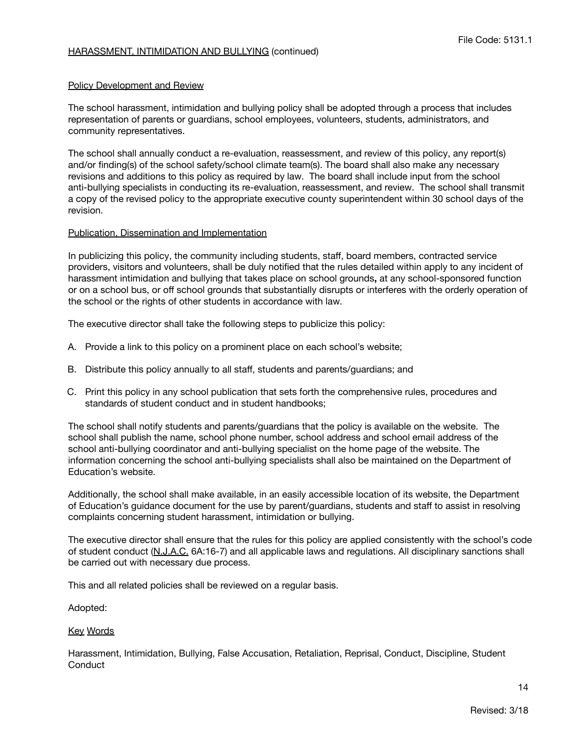### Policy Development and Review

The school harassment, intimidation and bullying policy shall be adopted through a process that includes representation of parents or guardians, school employees, volunteers, students, administrators, and community representatives.

The school shall annually conduct a re-evaluation, reassessment, and review of this policy, any report(s) and/or finding(s) of the school safety/school climate team(s). The board shall also make any necessary revisions and additions to this policy as required by law. The board shall include input from the school anti-bullying specialists in conducting its re-evaluation, reassessment, and review. The school shall transmit a copy of the revised policy to the appropriate executive county superintendent within 30 school days of the revision.

## Publication, Dissemination and Implementation

In publicizing this policy, the community including students, staff, board members, contracted service providers, visitors and volunteers, shall be duly notified that the rules detailed within apply to any incident of harassment intimidation and bullying that takes place on school grounds**,** at any school-sponsored function or on a school bus, or off school grounds that substantially disrupts or interferes with the orderly operation of the school or the rights of other students in accordance with law.

The executive director shall take the following steps to publicize this policy:

- A. Provide a link to this policy on a prominent place on each school's website;
- B. Distribute this policy annually to all staff, students and parents/guardians; and
- C. Print this policy in any school publication that sets forth the comprehensive rules, procedures and standards of student conduct and in student handbooks;

The school shall notify students and parents/guardians that the policy is available on the website. The school shall publish the name, school phone number, school address and school email address of the school anti-bullying coordinator and anti-bullying specialist on the home page of the website. The information concerning the school anti-bullying specialists shall also be maintained on the Department of Education's website.

Additionally, the school shall make available, in an easily accessible location of its website, the Department of Education's guidance document for the use by parent/guardians, students and staff to assist in resolving complaints concerning student harassment, intimidation or bullying.

The executive director shall ensure that the rules for this policy are applied consistently with the school's code of student conduct (N.J.A.C. 6A:16-7) and all applicable laws and regulations. All disciplinary sanctions shall be carried out with necessary due process.

This and all related policies shall be reviewed on a regular basis.

Adopted:

### Key Words

Harassment, Intimidation, Bullying, False Accusation, Retaliation, Reprisal, Conduct, Discipline, Student **Conduct**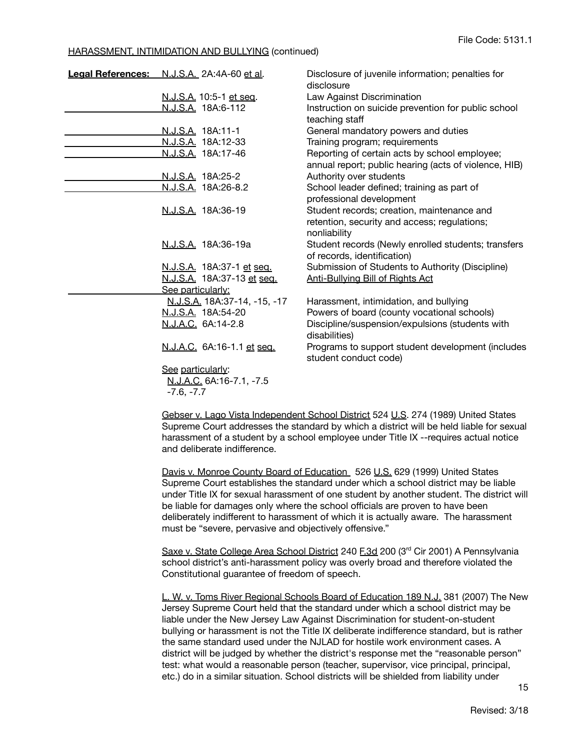| Legal References: N.J.S.A. 2A:4A-60 et al. |                              | Disclosure of juvenile information; penalties for<br>disclosure            |
|--------------------------------------------|------------------------------|----------------------------------------------------------------------------|
|                                            | N.J.S.A. 10:5-1 et seq.      | Law Against Discrimination                                                 |
|                                            | N.J.S.A. 18A:6-112           | Instruction on suicide prevention for public school                        |
|                                            |                              | teaching staff                                                             |
|                                            | <u>N.J.S.A.</u> 18A:11-1     | General mandatory powers and duties                                        |
|                                            | N.J.S.A. 18A:12-33           | Training program; requirements                                             |
|                                            | N.J.S.A. 18A:17-46           | Reporting of certain acts by school employee;                              |
|                                            |                              | annual report; public hearing (acts of violence, HIB)                      |
|                                            | <u>N.J.S.A.</u> 18A:25-2     | Authority over students                                                    |
|                                            | <u>N.J.S.A.</u> 18A:26-8.2   | School leader defined; training as part of                                 |
|                                            |                              | professional development                                                   |
|                                            | N.J.S.A. 18A:36-19           | Student records; creation, maintenance and                                 |
|                                            |                              | retention, security and access; regulations;                               |
|                                            |                              | nonliability                                                               |
|                                            | N.J.S.A. 18A:36-19a          | Student records (Newly enrolled students; transfers                        |
|                                            |                              | of records, identification)                                                |
|                                            | N.J.S.A. 18A:37-1 et seq.    | Submission of Students to Authority (Discipline)                           |
|                                            | N.J.S.A. 18A:37-13 et seq.   | <b>Anti-Bullying Bill of Rights Act</b>                                    |
|                                            | See particularly:            |                                                                            |
|                                            | N.J.S.A. 18A:37-14, -15, -17 | Harassment, intimidation, and bullying                                     |
|                                            | N.J.S.A. 18A:54-20           | Powers of board (county vocational schools)                                |
|                                            | N.J.A.C. 6A:14-2.8           | Discipline/suspension/expulsions (students with                            |
|                                            |                              | disabilities)                                                              |
|                                            | N.J.A.C. 6A:16-1.1 et seq.   | Programs to support student development (includes<br>student conduct code) |
|                                            | See particularly:            |                                                                            |
|                                            | N.J.A.C. 6A:16-7.1, -7.5     |                                                                            |
|                                            | $-7.6. -7.7$                 |                                                                            |

Gebser v. Lago Vista Independent School District 524 U.S. 274 (1989) United States Supreme Court addresses the standard by which a district will be held liable for sexual harassment of a student by a school employee under Title IX --requires actual notice and deliberate indifference.

Davis v. Monroe County Board of Education 526 U.S. 629 (1999) United States Supreme Court establishes the standard under which a school district may be liable under Title IX for sexual harassment of one student by another student. The district will be liable for damages only where the school officials are proven to have been deliberately indifferent to harassment of which it is actually aware. The harassment must be "severe, pervasive and objectively offensive."

Saxe v. State College Area School District 240 F.3d 200 (3<sup>rd</sup> Cir 2001) A Pennsylvania school district's anti-harassment policy was overly broad and therefore violated the Constitutional guarantee of freedom of speech.

L. W. v. Toms River Regional Schools Board of Education 189 N.J. 381 (2007) The New Jersey Supreme Court held that the standard under which a school district may be liable under the New Jersey Law Against Discrimination for student-on-student bullying or harassment is not the Title IX deliberate indifference standard, but is rather the same standard used under the NJLAD for hostile work environment cases. A district will be judged by whether the district's response met the "reasonable person" test: what would a reasonable person (teacher, supervisor, vice principal, principal, etc.) do in a similar situation. School districts will be shielded from liability under